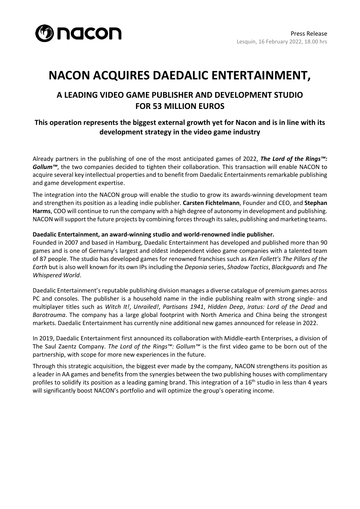

# **NACON ACQUIRES DAEDALIC ENTERTAINMENT,**

### **A LEADING VIDEO GAME PUBLISHER AND DEVELOPMENT STUDIO FOR 53 MILLION EUROS**

### **This operation represents the biggest external growth yet for Nacon and is in line with its development strategy in the video game industry**

Already partners in the publishing of one of the most anticipated games of 2022, *The Lord of the Rings™:*  Gollum<sup>™</sup>, the two companies decided to tighten their collaboration. This transaction will enable NACON to acquire several key intellectual properties and to benefit from Daedalic Entertainments remarkable publishing and game development expertise.

The integration into the NACON group will enable the studio to grow its awards-winning development team and strengthen its position as a leading indie publisher. **Carsten Fichtelmann**, Founder and CEO, and **Stephan Harms**, COO will continue to run the company with a high degree of autonomy in development and publishing. NACON will support the future projects by combining forces through its sales, publishing and marketing teams.

#### **Daedalic Entertainment, an award-winning studio and world-renowned indie publisher.**

Founded in 2007 and based in Hamburg, Daedalic Entertainment has developed and published more than 90 games and is one of Germany's largest and oldest independent video game companies with a talented team of 87 people. The studio has developed games for renowned franchises such as *Ken Follett's The Pillars of the Earth* but is also well known for its own IPs including the *Deponia* series, *Shadow Tactics*, *Blackguards* and *The Whispered World*.

Daedalic Entertainment's reputable publishing division manages a diverse catalogue of premium games across PC and consoles. The publisher is a household name in the indie publishing realm with strong single- and multiplayer titles such as *Witch It!*, *Unrailed!*, *Partisans 1941*, *Hidden Deep*, *Iratus: Lord of the Dead* and *Barotrauma*. The company has a large global footprint with North America and China being the strongest markets. Daedalic Entertainment has currently nine additional new games announced for release in 2022.

In 2019, Daedalic Entertainment first announced its collaboration with Middle-earth Enterprises, a division of The Saul Zaentz Company. *The Lord of the Rings™: Gollum™* is the first video game to be born out of the partnership, with scope for more new experiences in the future.

Through this strategic acquisition, the biggest ever made by the company, NACON strengthens its position as a leader in AA games and benefits from the synergies between the two publishing houses with complimentary profiles to solidify its position as a leading gaming brand. This integration of a 16<sup>th</sup> studio in less than 4 years will significantly boost NACON's portfolio and will optimize the group's operating income.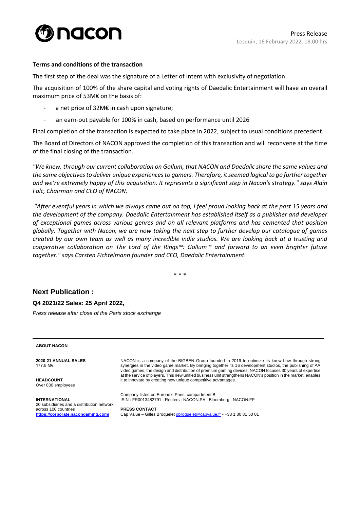

#### **Terms and conditions of the transaction**

The first step of the deal was the signature of a Letter of Intent with exclusivity of negotiation.

The acquisition of 100% of the share capital and voting rights of Daedalic Entertainment will have an overall maximum price of 53M€ on the basis of:

- a net price of 32M€ in cash upon signature;
- an earn-out payable for 100% in cash, based on performance until 2026

Final completion of the transaction is expected to take place in 2022, subject to usual conditions precedent.

The Board of Directors of NACON approved the completion of this transaction and will reconvene at the time of the final closing of the transaction.

*"We knew, through our current collaboration on Gollum, that NACON and Daedalic share the same values and the same objectives to deliver unique experiences to gamers. Therefore, it seemed logical to go further together and we're extremely happy of this acquisition. It represents a significant step in Nacon's strategy." says Alain Falc, Chairman and CEO of NACON.*

*"After eventful years in which we always came out on top, I feel proud looking back at the past 15 years and the development of the company. Daedalic Entertainment has established itself as a publisher and developer of exceptional games across various genres and on all relevant platforms and has cemented that position globally. Together with Nacon, we are now taking the next step to further develop our catalogue of games created by our own team as well as many incredible indie studios. We are looking back at a trusting and cooperative collaboration on The Lord of the Rings™: Gollum™ and forward to an even brighter future together." says Carsten Fichtelmann founder and CEO, Daedalic Entertainment.* 

\* \* \*

## **Next Publication :**

#### **Q4 2021/22 Sales: 25 April 2022,**

*Press release after close of the Paris stock exchange*

| <b>ABOUT NACON</b>                                                                                                               |                                                                                                                                                                                                                                                                                                                                                                                                                                         |
|----------------------------------------------------------------------------------------------------------------------------------|-----------------------------------------------------------------------------------------------------------------------------------------------------------------------------------------------------------------------------------------------------------------------------------------------------------------------------------------------------------------------------------------------------------------------------------------|
| 2020-21 ANNUAL SALES<br>177.8 M€                                                                                                 | NACON is a company of the BIGBEN Group founded in 2019 to optimize its know-how through strong<br>synergies in the video game market. By bringing together its 16 development studios, the publishing of AA<br>video games, the design and distribution of premium gaming devices, NACON focuses 30 years of expertise<br>at the service of players. This new unified business unit strengthens NACON's position in the market, enables |
| <b>HEADCOUNT</b><br>Over 800 employees                                                                                           | it to innovate by creating new unique competitive advantages.                                                                                                                                                                                                                                                                                                                                                                           |
| <b>INTERNATIONAL</b><br>20 subsidiaries and a distribution network<br>across 100 countries<br>https://corporate.nacongaming.com/ | Company listed on Euronext Paris, compartment B<br>ISIN: FR0013482791: Reuters: NACON.PA: Bloomberg: NACON:FP                                                                                                                                                                                                                                                                                                                           |
|                                                                                                                                  | <b>PRESS CONTACT</b><br>Cap Value – Gilles Broquelet gbroquelet@capvalue.fr - +33 1 80 81 50 01                                                                                                                                                                                                                                                                                                                                         |